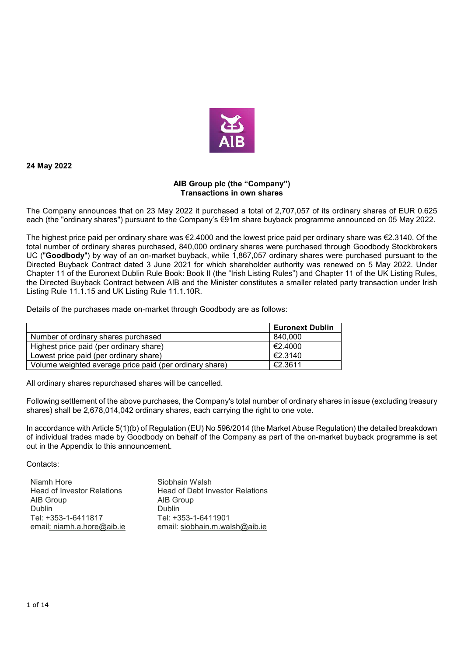

**24 May 2022** 

## **AIB Group plc (the "Company") Transactions in own shares**

The Company announces that on 23 May 2022 it purchased a total of 2,707,057 of its ordinary shares of EUR 0.625 each (the "ordinary shares") pursuant to the Company's €91m share buyback programme announced on 05 May 2022.

The highest price paid per ordinary share was €2.4000 and the lowest price paid per ordinary share was €2.3140. Of the total number of ordinary shares purchased, 840,000 ordinary shares were purchased through Goodbody Stockbrokers UC ("**Goodbody**") by way of an on-market buyback, while 1,867,057 ordinary shares were purchased pursuant to the Directed Buyback Contract dated 3 June 2021 for which shareholder authority was renewed on 5 May 2022. Under Chapter 11 of the Euronext Dublin Rule Book: Book II (the "Irish Listing Rules") and Chapter 11 of the UK Listing Rules, the Directed Buyback Contract between AIB and the Minister constitutes a smaller related party transaction under Irish Listing Rule 11.1.15 and UK Listing Rule 11.1.10R.

Details of the purchases made on-market through Goodbody are as follows:

|                                                         | <b>Euronext Dublin</b> |
|---------------------------------------------------------|------------------------|
| Number of ordinary shares purchased                     | 840.000                |
| Highest price paid (per ordinary share)                 | €2.4000                |
| Lowest price paid (per ordinary share)                  | €2.3140                |
| Volume weighted average price paid (per ordinary share) | €2.3611                |

All ordinary shares repurchased shares will be cancelled.

Following settlement of the above purchases, the Company's total number of ordinary shares in issue (excluding treasury shares) shall be 2,678,014,042 ordinary shares, each carrying the right to one vote.

In accordance with Article 5(1)(b) of Regulation (EU) No 596/2014 (the Market Abuse Regulation) the detailed breakdown of individual trades made by Goodbody on behalf of the Company as part of the on-market buyback programme is set out in the Appendix to this announcement.

Contacts:

| Niamh Hore                        | Siobhain Walsh                  |
|-----------------------------------|---------------------------------|
| <b>Head of Investor Relations</b> | Head of Debt Investor Relations |
| AIB Group                         | AIB Group                       |
| <b>Dublin</b>                     | <b>Dublin</b>                   |
| Tel: +353-1-6411817               | Tel: +353-1-6411901             |
| email: niamh.a.hore@aib.ie        | email: siobhain.m.walsh@aib.ie  |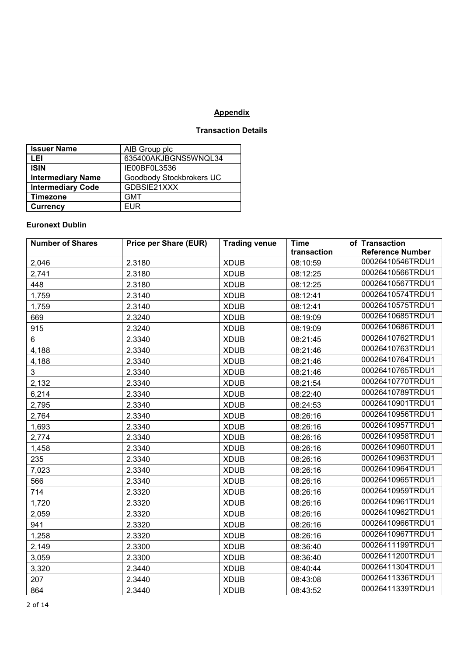## **Appendix**

## **Transaction Details**

| <b>Issuer Name</b>       | AIB Group plc            |
|--------------------------|--------------------------|
| LEI                      | 635400AKJBGNS5WNQL34     |
| <b>ISIN</b>              | IE00BF0L3536             |
| <b>Intermediary Name</b> | Goodbody Stockbrokers UC |
| <b>Intermediary Code</b> | GDBSIE21XXX              |
| <b>Timezone</b>          | <b>GMT</b>               |
| <b>Currency</b>          | <b>FUR</b>               |

## **Euronext Dublin**

| <b>Number of Shares</b> | <b>Price per Share (EUR)</b> | <b>Trading venue</b> | <b>Time</b> | of Transaction          |
|-------------------------|------------------------------|----------------------|-------------|-------------------------|
|                         |                              |                      | transaction | <b>Reference Number</b> |
| 2,046                   | 2.3180                       | <b>XDUB</b>          | 08:10:59    | 00026410546TRDU1        |
| 2,741                   | 2.3180                       | <b>XDUB</b>          | 08:12:25    | 00026410566TRDU1        |
| 448                     | 2.3180                       | <b>XDUB</b>          | 08:12:25    | 00026410567TRDU1        |
| 1,759                   | 2.3140                       | <b>XDUB</b>          | 08:12:41    | 00026410574TRDU1        |
| 1,759                   | 2.3140                       | <b>XDUB</b>          | 08:12:41    | 00026410575TRDU1        |
| 669                     | 2.3240                       | <b>XDUB</b>          | 08:19:09    | 00026410685TRDU1        |
| 915                     | 2.3240                       | <b>XDUB</b>          | 08:19:09    | 00026410686TRDU1        |
| 6                       | 2.3340                       | <b>XDUB</b>          | 08:21:45    | 00026410762TRDU1        |
| 4,188                   | 2.3340                       | <b>XDUB</b>          | 08:21:46    | 00026410763TRDU1        |
| 4,188                   | 2.3340                       | <b>XDUB</b>          | 08:21:46    | 00026410764TRDU1        |
| 3                       | 2.3340                       | <b>XDUB</b>          | 08:21:46    | 00026410765TRDU1        |
| 2,132                   | 2.3340                       | <b>XDUB</b>          | 08:21:54    | 00026410770TRDU1        |
| 6,214                   | 2.3340                       | <b>XDUB</b>          | 08:22:40    | 00026410789TRDU1        |
| 2,795                   | 2.3340                       | <b>XDUB</b>          | 08:24:53    | 00026410901TRDU1        |
| 2,764                   | 2.3340                       | <b>XDUB</b>          | 08:26:16    | 00026410956TRDU1        |
| 1,693                   | 2.3340                       | <b>XDUB</b>          | 08:26:16    | 00026410957TRDU1        |
| 2,774                   | 2.3340                       | <b>XDUB</b>          | 08:26:16    | 00026410958TRDU1        |
| 1,458                   | 2.3340                       | <b>XDUB</b>          | 08:26:16    | 00026410960TRDU1        |
| 235                     | 2.3340                       | <b>XDUB</b>          | 08:26:16    | 00026410963TRDU1        |
| 7,023                   | 2.3340                       | <b>XDUB</b>          | 08:26:16    | 00026410964TRDU1        |
| 566                     | 2.3340                       | <b>XDUB</b>          | 08:26:16    | 00026410965TRDU1        |
| 714                     | 2.3320                       | <b>XDUB</b>          | 08:26:16    | 00026410959TRDU1        |
| 1,720                   | 2.3320                       | <b>XDUB</b>          | 08:26:16    | 00026410961TRDU1        |
| 2,059                   | 2.3320                       | <b>XDUB</b>          | 08:26:16    | 00026410962TRDU1        |
| 941                     | 2.3320                       | <b>XDUB</b>          | 08:26:16    | 00026410966TRDU1        |
| 1,258                   | 2.3320                       | <b>XDUB</b>          | 08:26:16    | 00026410967TRDU1        |
| 2,149                   | 2.3300                       | <b>XDUB</b>          | 08:36:40    | 00026411199TRDU1        |
| 3,059                   | 2.3300                       | <b>XDUB</b>          | 08:36:40    | 00026411200TRDU1        |
| 3,320                   | 2.3440                       | <b>XDUB</b>          | 08:40:44    | 00026411304TRDU1        |
| 207                     | 2.3440                       | <b>XDUB</b>          | 08:43:08    | 00026411336TRDU1        |
| 864                     | 2.3440                       | <b>XDUB</b>          | 08:43:52    | 00026411339TRDU1        |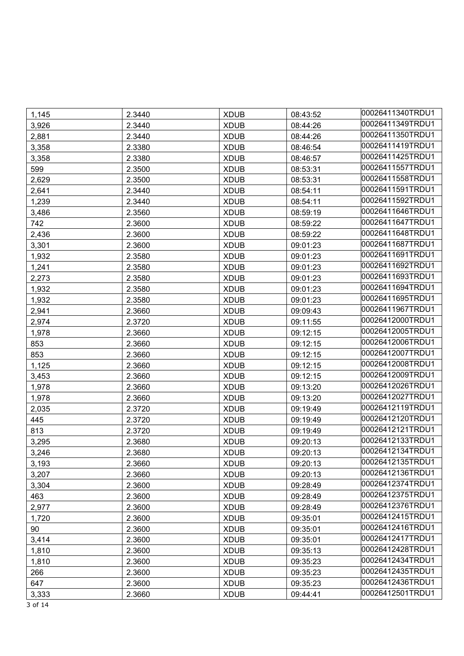| 1,145 | 2.3440 | <b>XDUB</b> | 08:43:52 | 00026411340TRDU1 |
|-------|--------|-------------|----------|------------------|
| 3,926 | 2.3440 | <b>XDUB</b> | 08:44:26 | 00026411349TRDU1 |
| 2,881 | 2.3440 | <b>XDUB</b> | 08:44:26 | 00026411350TRDU1 |
| 3,358 | 2.3380 | <b>XDUB</b> | 08:46:54 | 00026411419TRDU1 |
| 3,358 | 2.3380 | <b>XDUB</b> | 08:46:57 | 00026411425TRDU1 |
| 599   | 2.3500 | <b>XDUB</b> | 08:53:31 | 00026411557TRDU1 |
| 2,629 | 2.3500 | <b>XDUB</b> | 08:53:31 | 00026411558TRDU1 |
| 2,641 | 2.3440 | <b>XDUB</b> | 08:54:11 | 00026411591TRDU1 |
| 1,239 | 2.3440 | <b>XDUB</b> | 08:54:11 | 00026411592TRDU1 |
| 3,486 | 2.3560 | <b>XDUB</b> | 08:59:19 | 00026411646TRDU1 |
| 742   | 2.3600 | <b>XDUB</b> | 08:59:22 | 00026411647TRDU1 |
| 2,436 | 2.3600 | <b>XDUB</b> | 08:59:22 | 00026411648TRDU1 |
| 3,301 | 2.3600 | <b>XDUB</b> | 09:01:23 | 00026411687TRDU1 |
| 1,932 | 2.3580 | <b>XDUB</b> | 09:01:23 | 00026411691TRDU1 |
| 1,241 | 2.3580 | <b>XDUB</b> | 09:01:23 | 00026411692TRDU1 |
| 2,273 | 2.3580 | <b>XDUB</b> | 09:01:23 | 00026411693TRDU1 |
| 1,932 | 2.3580 | <b>XDUB</b> | 09:01:23 | 00026411694TRDU1 |
| 1,932 | 2.3580 | <b>XDUB</b> | 09:01:23 | 00026411695TRDU1 |
| 2,941 | 2.3660 | <b>XDUB</b> | 09:09:43 | 00026411967TRDU1 |
| 2,974 | 2.3720 | <b>XDUB</b> | 09:11:55 | 00026412000TRDU1 |
| 1,978 | 2.3660 | <b>XDUB</b> | 09:12:15 | 00026412005TRDU1 |
| 853   | 2.3660 | <b>XDUB</b> | 09:12:15 | 00026412006TRDU1 |
| 853   | 2.3660 | <b>XDUB</b> | 09:12:15 | 00026412007TRDU1 |
| 1,125 | 2.3660 | <b>XDUB</b> | 09:12:15 | 00026412008TRDU1 |
| 3,453 | 2.3660 | <b>XDUB</b> | 09:12:15 | 00026412009TRDU1 |
| 1,978 | 2.3660 | <b>XDUB</b> | 09:13:20 | 00026412026TRDU1 |
| 1,978 | 2.3660 | <b>XDUB</b> | 09:13:20 | 00026412027TRDU1 |
| 2,035 | 2.3720 | <b>XDUB</b> | 09:19:49 | 00026412119TRDU1 |
| 445   | 2.3720 | <b>XDUB</b> | 09:19:49 | 00026412120TRDU1 |
| 813   | 2.3720 | <b>XDUB</b> | 09:19:49 | 00026412121TRDU1 |
| 3,295 | 2.3680 | <b>XDUB</b> | 09:20:13 | 00026412133TRDU1 |
| 3,246 | 2.3680 | <b>XDUB</b> | 09:20:13 | 00026412134TRDU1 |
| 3,193 | 2.3660 | <b>XDUB</b> | 09:20:13 | 00026412135TRDU1 |
| 3,207 | 2.3660 | <b>XDUB</b> | 09:20:13 | 00026412136TRDU1 |
| 3,304 | 2.3600 | <b>XDUB</b> | 09:28:49 | 00026412374TRDU1 |
| 463   | 2.3600 | <b>XDUB</b> | 09:28:49 | 00026412375TRDU1 |
| 2,977 | 2.3600 | <b>XDUB</b> | 09:28:49 | 00026412376TRDU1 |
| 1,720 | 2.3600 | <b>XDUB</b> | 09:35:01 | 00026412415TRDU1 |
| 90    | 2.3600 | <b>XDUB</b> | 09:35:01 | 00026412416TRDU1 |
| 3,414 | 2.3600 | <b>XDUB</b> | 09:35:01 | 00026412417TRDU1 |
| 1,810 | 2.3600 | <b>XDUB</b> | 09:35:13 | 00026412428TRDU1 |
| 1,810 | 2.3600 | <b>XDUB</b> | 09:35:23 | 00026412434TRDU1 |
| 266   | 2.3600 | <b>XDUB</b> | 09:35:23 | 00026412435TRDU1 |
| 647   | 2.3600 | <b>XDUB</b> | 09:35:23 | 00026412436TRDU1 |
| 3,333 | 2.3660 | <b>XDUB</b> | 09:44:41 | 00026412501TRDU1 |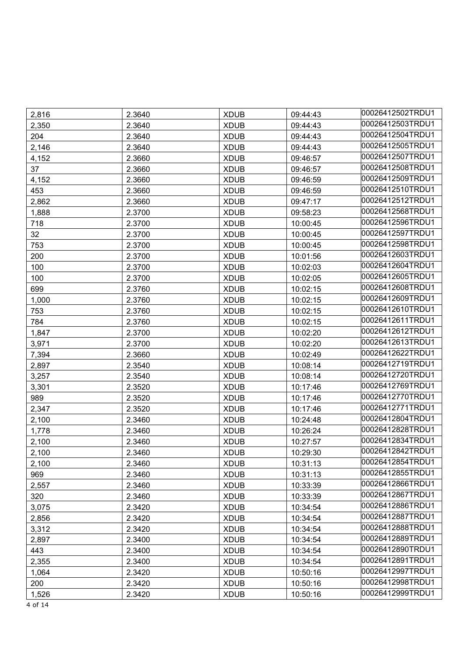| 2,816 | 2.3640 | <b>XDUB</b> | 09:44:43 | 00026412502TRDU1 |
|-------|--------|-------------|----------|------------------|
| 2,350 | 2.3640 | <b>XDUB</b> | 09:44:43 | 00026412503TRDU1 |
| 204   | 2.3640 | <b>XDUB</b> | 09:44:43 | 00026412504TRDU1 |
| 2,146 | 2.3640 | <b>XDUB</b> | 09:44:43 | 00026412505TRDU1 |
| 4,152 | 2.3660 | <b>XDUB</b> | 09:46:57 | 00026412507TRDU1 |
| 37    | 2.3660 | <b>XDUB</b> | 09:46:57 | 00026412508TRDU1 |
| 4,152 | 2.3660 | <b>XDUB</b> | 09:46:59 | 00026412509TRDU1 |
| 453   | 2.3660 | <b>XDUB</b> | 09:46:59 | 00026412510TRDU1 |
| 2,862 | 2.3660 | <b>XDUB</b> | 09:47:17 | 00026412512TRDU1 |
| 1,888 | 2.3700 | <b>XDUB</b> | 09:58:23 | 00026412568TRDU1 |
| 718   | 2.3700 | <b>XDUB</b> | 10:00:45 | 00026412596TRDU1 |
| 32    | 2.3700 | <b>XDUB</b> | 10:00:45 | 00026412597TRDU1 |
| 753   | 2.3700 | <b>XDUB</b> | 10:00:45 | 00026412598TRDU1 |
| 200   | 2.3700 | <b>XDUB</b> | 10:01:56 | 00026412603TRDU1 |
| 100   | 2.3700 | <b>XDUB</b> | 10:02:03 | 00026412604TRDU1 |
| 100   | 2.3700 | <b>XDUB</b> | 10:02:05 | 00026412605TRDU1 |
| 699   | 2.3760 | <b>XDUB</b> | 10:02:15 | 00026412608TRDU1 |
| 1,000 | 2.3760 | <b>XDUB</b> | 10:02:15 | 00026412609TRDU1 |
| 753   | 2.3760 | <b>XDUB</b> | 10:02:15 | 00026412610TRDU1 |
| 784   | 2.3760 | <b>XDUB</b> | 10:02:15 | 00026412611TRDU1 |
| 1,847 | 2.3700 | <b>XDUB</b> | 10:02:20 | 00026412612TRDU1 |
| 3,971 | 2.3700 | <b>XDUB</b> | 10:02:20 | 00026412613TRDU1 |
| 7,394 | 2.3660 | <b>XDUB</b> | 10:02:49 | 00026412622TRDU1 |
| 2,897 | 2.3540 | <b>XDUB</b> | 10:08:14 | 00026412719TRDU1 |
| 3,257 | 2.3540 | <b>XDUB</b> | 10:08:14 | 00026412720TRDU1 |
| 3,301 | 2.3520 | <b>XDUB</b> | 10:17:46 | 00026412769TRDU1 |
| 989   | 2.3520 | <b>XDUB</b> | 10:17:46 | 00026412770TRDU1 |
| 2,347 | 2.3520 | <b>XDUB</b> | 10:17:46 | 00026412771TRDU1 |
| 2,100 | 2.3460 | <b>XDUB</b> | 10:24:48 | 00026412804TRDU1 |
| 1,778 | 2.3460 | <b>XDUB</b> | 10:26:24 | 00026412828TRDU1 |
| 2,100 | 2.3460 | <b>XDUB</b> | 10:27:57 | 00026412834TRDU1 |
| 2,100 | 2.3460 | <b>XDUB</b> | 10:29:30 | 00026412842TRDU1 |
| 2,100 | 2.3460 | <b>XDUB</b> | 10:31:13 | 00026412854TRDU1 |
| 969   | 2.3460 | <b>XDUB</b> | 10:31:13 | 00026412855TRDU1 |
| 2,557 | 2.3460 | <b>XDUB</b> | 10:33:39 | 00026412866TRDU1 |
| 320   | 2.3460 | <b>XDUB</b> | 10:33:39 | 00026412867TRDU1 |
| 3,075 | 2.3420 | <b>XDUB</b> | 10:34:54 | 00026412886TRDU1 |
| 2,856 | 2.3420 | <b>XDUB</b> | 10:34:54 | 00026412887TRDU1 |
| 3,312 | 2.3420 | <b>XDUB</b> | 10:34:54 | 00026412888TRDU1 |
| 2,897 | 2.3400 | <b>XDUB</b> | 10:34:54 | 00026412889TRDU1 |
| 443   | 2.3400 | <b>XDUB</b> | 10:34:54 | 00026412890TRDU1 |
| 2,355 | 2.3400 | <b>XDUB</b> | 10:34:54 | 00026412891TRDU1 |
| 1,064 | 2.3420 | <b>XDUB</b> | 10:50:16 | 00026412997TRDU1 |
| 200   | 2.3420 | <b>XDUB</b> | 10:50:16 | 00026412998TRDU1 |
| 1,526 | 2.3420 | <b>XDUB</b> | 10:50:16 | 00026412999TRDU1 |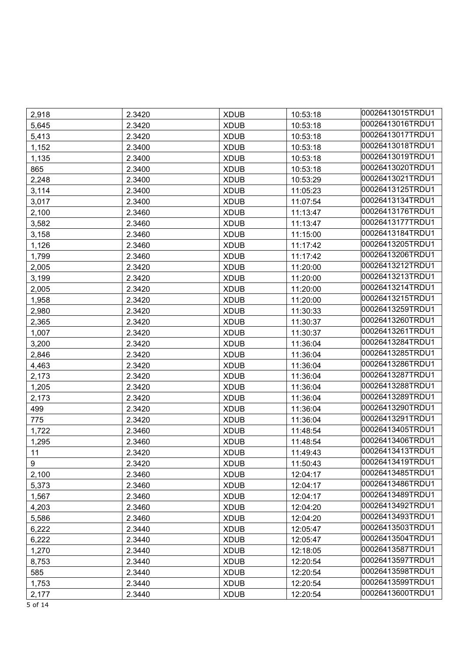| 2,918 | 2.3420 | <b>XDUB</b> | 10:53:18 | 00026413015TRDU1 |
|-------|--------|-------------|----------|------------------|
| 5,645 | 2.3420 | <b>XDUB</b> | 10:53:18 | 00026413016TRDU1 |
| 5,413 | 2.3420 | <b>XDUB</b> | 10:53:18 | 00026413017TRDU1 |
| 1,152 | 2.3400 | <b>XDUB</b> | 10:53:18 | 00026413018TRDU1 |
| 1,135 | 2.3400 | <b>XDUB</b> | 10:53:18 | 00026413019TRDU1 |
| 865   | 2.3400 | <b>XDUB</b> | 10:53:18 | 00026413020TRDU1 |
| 2,248 | 2.3400 | <b>XDUB</b> | 10:53:29 | 00026413021TRDU1 |
| 3,114 | 2.3400 | <b>XDUB</b> | 11:05:23 | 00026413125TRDU1 |
| 3,017 | 2.3400 | <b>XDUB</b> | 11:07:54 | 00026413134TRDU1 |
| 2,100 | 2.3460 | <b>XDUB</b> | 11:13:47 | 00026413176TRDU1 |
| 3,582 | 2.3460 | <b>XDUB</b> | 11:13:47 | 00026413177TRDU1 |
| 3,158 | 2.3460 | <b>XDUB</b> | 11:15:00 | 00026413184TRDU1 |
| 1,126 | 2.3460 | <b>XDUB</b> | 11:17:42 | 00026413205TRDU1 |
| 1,799 | 2.3460 | <b>XDUB</b> | 11:17:42 | 00026413206TRDU1 |
| 2,005 | 2.3420 | <b>XDUB</b> | 11:20:00 | 00026413212TRDU1 |
| 3,199 | 2.3420 | <b>XDUB</b> | 11:20:00 | 00026413213TRDU1 |
| 2,005 | 2.3420 | <b>XDUB</b> | 11:20:00 | 00026413214TRDU1 |
| 1,958 | 2.3420 | <b>XDUB</b> | 11:20:00 | 00026413215TRDU1 |
| 2,980 | 2.3420 | <b>XDUB</b> | 11:30:33 | 00026413259TRDU1 |
| 2,365 | 2.3420 | <b>XDUB</b> | 11:30:37 | 00026413260TRDU1 |
| 1,007 | 2.3420 | <b>XDUB</b> | 11:30:37 | 00026413261TRDU1 |
| 3,200 | 2.3420 | <b>XDUB</b> | 11:36:04 | 00026413284TRDU1 |
| 2,846 | 2.3420 | <b>XDUB</b> | 11:36:04 | 00026413285TRDU1 |
| 4,463 | 2.3420 | <b>XDUB</b> | 11:36:04 | 00026413286TRDU1 |
| 2,173 | 2.3420 | <b>XDUB</b> | 11:36:04 | 00026413287TRDU1 |
| 1,205 | 2.3420 | <b>XDUB</b> | 11:36:04 | 00026413288TRDU1 |
| 2,173 | 2.3420 | <b>XDUB</b> | 11:36:04 | 00026413289TRDU1 |
| 499   | 2.3420 | <b>XDUB</b> | 11:36:04 | 00026413290TRDU1 |
| 775   | 2.3420 | <b>XDUB</b> | 11:36:04 | 00026413291TRDU1 |
| 1,722 | 2.3460 | <b>XDUB</b> | 11:48:54 | 00026413405TRDU1 |
| 1,295 | 2.3460 | <b>XDUB</b> | 11:48:54 | 00026413406TRDU1 |
| 11    | 2.3420 | <b>XDUB</b> | 11:49:43 | 00026413413TRDU1 |
| 9     | 2.3420 | <b>XDUB</b> | 11:50:43 | 00026413419TRDU1 |
| 2,100 | 2.3460 | <b>XDUB</b> | 12:04:17 | 00026413485TRDU1 |
| 5,373 | 2.3460 | <b>XDUB</b> | 12:04:17 | 00026413486TRDU1 |
| 1,567 | 2.3460 | <b>XDUB</b> | 12:04:17 | 00026413489TRDU1 |
| 4,203 | 2.3460 | <b>XDUB</b> | 12:04:20 | 00026413492TRDU1 |
| 5,586 | 2.3460 | <b>XDUB</b> | 12:04:20 | 00026413493TRDU1 |
| 6,222 | 2.3440 | <b>XDUB</b> | 12:05:47 | 00026413503TRDU1 |
| 6,222 | 2.3440 | <b>XDUB</b> | 12:05:47 | 00026413504TRDU1 |
| 1,270 | 2.3440 | <b>XDUB</b> | 12:18:05 | 00026413587TRDU1 |
| 8,753 | 2.3440 | <b>XDUB</b> | 12:20:54 | 00026413597TRDU1 |
| 585   | 2.3440 | <b>XDUB</b> | 12:20:54 | 00026413598TRDU1 |
| 1,753 | 2.3440 | <b>XDUB</b> | 12:20:54 | 00026413599TRDU1 |
| 2,177 | 2.3440 | <b>XDUB</b> | 12:20:54 | 00026413600TRDU1 |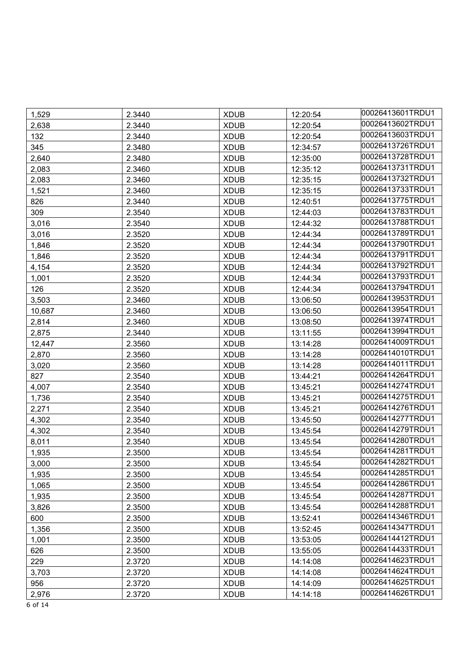| 1,529  | 2.3440 | <b>XDUB</b> | 12:20:54 | 00026413601TRDU1 |
|--------|--------|-------------|----------|------------------|
| 2,638  | 2.3440 | <b>XDUB</b> | 12:20:54 | 00026413602TRDU1 |
| 132    | 2.3440 | <b>XDUB</b> | 12:20:54 | 00026413603TRDU1 |
| 345    | 2.3480 | <b>XDUB</b> | 12:34:57 | 00026413726TRDU1 |
| 2,640  | 2.3480 | <b>XDUB</b> | 12:35:00 | 00026413728TRDU1 |
| 2,083  | 2.3460 | <b>XDUB</b> | 12:35:12 | 00026413731TRDU1 |
| 2,083  | 2.3460 | <b>XDUB</b> | 12:35:15 | 00026413732TRDU1 |
| 1,521  | 2.3460 | <b>XDUB</b> | 12:35:15 | 00026413733TRDU1 |
| 826    | 2.3440 | <b>XDUB</b> | 12:40:51 | 00026413775TRDU1 |
| 309    | 2.3540 | <b>XDUB</b> | 12:44:03 | 00026413783TRDU1 |
| 3,016  | 2.3540 | <b>XDUB</b> | 12:44:32 | 00026413788TRDU1 |
| 3,016  | 2.3520 | <b>XDUB</b> | 12:44:34 | 00026413789TRDU1 |
| 1,846  | 2.3520 | <b>XDUB</b> | 12:44:34 | 00026413790TRDU1 |
| 1,846  | 2.3520 | <b>XDUB</b> | 12:44:34 | 00026413791TRDU1 |
| 4,154  | 2.3520 | <b>XDUB</b> | 12:44:34 | 00026413792TRDU1 |
| 1,001  | 2.3520 | <b>XDUB</b> | 12:44:34 | 00026413793TRDU1 |
| 126    | 2.3520 | <b>XDUB</b> | 12:44:34 | 00026413794TRDU1 |
| 3,503  | 2.3460 | <b>XDUB</b> | 13:06:50 | 00026413953TRDU1 |
| 10,687 | 2.3460 | <b>XDUB</b> | 13:06:50 | 00026413954TRDU1 |
| 2,814  | 2.3460 | <b>XDUB</b> | 13:08:50 | 00026413974TRDU1 |
| 2,875  | 2.3440 | <b>XDUB</b> | 13:11:55 | 00026413994TRDU1 |
| 12,447 | 2.3560 | <b>XDUB</b> | 13:14:28 | 00026414009TRDU1 |
| 2,870  | 2.3560 | <b>XDUB</b> | 13:14:28 | 00026414010TRDU1 |
| 3,020  | 2.3560 | <b>XDUB</b> | 13:14:28 | 00026414011TRDU1 |
| 827    | 2.3540 | <b>XDUB</b> | 13:44:21 | 00026414264TRDU1 |
| 4,007  | 2.3540 | <b>XDUB</b> | 13:45:21 | 00026414274TRDU1 |
| 1,736  | 2.3540 | <b>XDUB</b> | 13:45:21 | 00026414275TRDU1 |
| 2,271  | 2.3540 | <b>XDUB</b> | 13:45:21 | 00026414276TRDU1 |
| 4,302  | 2.3540 | <b>XDUB</b> | 13:45:50 | 00026414277TRDU1 |
| 4,302  | 2.3540 | <b>XDUB</b> | 13:45:54 | 00026414279TRDU1 |
| 8,011  | 2.3540 | <b>XDUB</b> | 13:45:54 | 00026414280TRDU1 |
| 1,935  | 2.3500 | <b>XDUB</b> | 13:45:54 | 00026414281TRDU1 |
| 3,000  | 2.3500 | <b>XDUB</b> | 13:45:54 | 00026414282TRDU1 |
| 1,935  | 2.3500 | <b>XDUB</b> | 13:45:54 | 00026414285TRDU1 |
| 1,065  | 2.3500 | <b>XDUB</b> | 13:45:54 | 00026414286TRDU1 |
| 1,935  | 2.3500 | <b>XDUB</b> | 13:45:54 | 00026414287TRDU1 |
| 3,826  | 2.3500 | <b>XDUB</b> | 13:45:54 | 00026414288TRDU1 |
| 600    | 2.3500 | <b>XDUB</b> | 13:52:41 | 00026414346TRDU1 |
| 1,356  | 2.3500 | <b>XDUB</b> | 13:52:45 | 00026414347TRDU1 |
| 1,001  | 2.3500 | <b>XDUB</b> | 13:53:05 | 00026414412TRDU1 |
| 626    | 2.3500 | <b>XDUB</b> | 13:55:05 | 00026414433TRDU1 |
| 229    | 2.3720 | <b>XDUB</b> | 14:14:08 | 00026414623TRDU1 |
| 3,703  | 2.3720 | <b>XDUB</b> | 14:14:08 | 00026414624TRDU1 |
| 956    | 2.3720 | <b>XDUB</b> | 14:14:09 | 00026414625TRDU1 |
| 2,976  | 2.3720 | <b>XDUB</b> | 14:14:18 | 00026414626TRDU1 |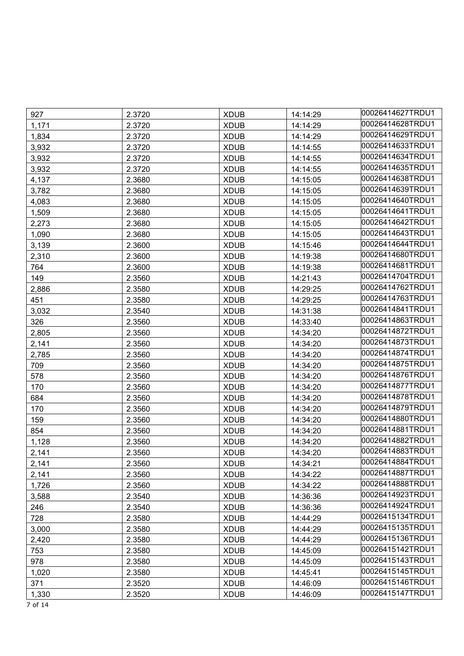| 927   | 2.3720 | <b>XDUB</b> | 14:14:29 | 00026414627TRDU1 |
|-------|--------|-------------|----------|------------------|
| 1,171 | 2.3720 | <b>XDUB</b> | 14:14:29 | 00026414628TRDU1 |
| 1,834 | 2.3720 | <b>XDUB</b> | 14:14:29 | 00026414629TRDU1 |
| 3,932 | 2.3720 | <b>XDUB</b> | 14:14:55 | 00026414633TRDU1 |
| 3,932 | 2.3720 | <b>XDUB</b> | 14:14:55 | 00026414634TRDU1 |
| 3,932 | 2.3720 | <b>XDUB</b> | 14:14:55 | 00026414635TRDU1 |
| 4,137 | 2.3680 | <b>XDUB</b> | 14:15:05 | 00026414638TRDU1 |
| 3,782 | 2.3680 | <b>XDUB</b> | 14:15:05 | 00026414639TRDU1 |
| 4,083 | 2.3680 | <b>XDUB</b> | 14:15:05 | 00026414640TRDU1 |
| 1,509 | 2.3680 | <b>XDUB</b> | 14:15:05 | 00026414641TRDU1 |
| 2,273 | 2.3680 | <b>XDUB</b> | 14:15:05 | 00026414642TRDU1 |
| 1,090 | 2.3680 | <b>XDUB</b> | 14:15:05 | 00026414643TRDU1 |
| 3,139 | 2.3600 | <b>XDUB</b> | 14:15:46 | 00026414644TRDU1 |
| 2,310 | 2.3600 | <b>XDUB</b> | 14:19:38 | 00026414680TRDU1 |
| 764   | 2.3600 | <b>XDUB</b> | 14:19:38 | 00026414681TRDU1 |
| 149   | 2.3560 | <b>XDUB</b> | 14:21:43 | 00026414704TRDU1 |
| 2,886 | 2.3580 | <b>XDUB</b> | 14:29:25 | 00026414762TRDU1 |
| 451   | 2.3580 | <b>XDUB</b> | 14:29:25 | 00026414763TRDU1 |
| 3,032 | 2.3540 | <b>XDUB</b> | 14:31:38 | 00026414841TRDU1 |
| 326   | 2.3560 | <b>XDUB</b> | 14:33:40 | 00026414863TRDU1 |
| 2,805 | 2.3560 | <b>XDUB</b> | 14:34:20 | 00026414872TRDU1 |
| 2,141 | 2.3560 | <b>XDUB</b> | 14:34:20 | 00026414873TRDU1 |
| 2,785 | 2.3560 | <b>XDUB</b> | 14:34:20 | 00026414874TRDU1 |
| 709   | 2.3560 | <b>XDUB</b> | 14:34:20 | 00026414875TRDU1 |
| 578   | 2.3560 | <b>XDUB</b> | 14:34:20 | 00026414876TRDU1 |
| 170   | 2.3560 | <b>XDUB</b> | 14:34:20 | 00026414877TRDU1 |
| 684   | 2.3560 | <b>XDUB</b> | 14:34:20 | 00026414878TRDU1 |
| 170   | 2.3560 | <b>XDUB</b> | 14:34:20 | 00026414879TRDU1 |
| 159   | 2.3560 | <b>XDUB</b> | 14:34:20 | 00026414880TRDU1 |
| 854   | 2.3560 | <b>XDUB</b> | 14:34:20 | 00026414881TRDU1 |
| 1,128 | 2.3560 | <b>XDUB</b> | 14:34:20 | 00026414882TRDU1 |
| 2,141 | 2.3560 | <b>XDUB</b> | 14:34:20 | 00026414883TRDU1 |
| 2,141 | 2.3560 | <b>XDUB</b> | 14:34:21 | 00026414884TRDU1 |
| 2,141 | 2.3560 | <b>XDUB</b> | 14:34:22 | 00026414887TRDU1 |
| 1,726 | 2.3560 | <b>XDUB</b> | 14:34:22 | 00026414888TRDU1 |
| 3,588 | 2.3540 | <b>XDUB</b> | 14:36:36 | 00026414923TRDU1 |
| 246   | 2.3540 | <b>XDUB</b> | 14:36:36 | 00026414924TRDU1 |
| 728   | 2.3580 | <b>XDUB</b> | 14:44:29 | 00026415134TRDU1 |
| 3,000 | 2.3580 | <b>XDUB</b> | 14:44:29 | 00026415135TRDU1 |
| 2,420 | 2.3580 | <b>XDUB</b> | 14:44:29 | 00026415136TRDU1 |
| 753   | 2.3580 | <b>XDUB</b> | 14:45:09 | 00026415142TRDU1 |
| 978   | 2.3580 | <b>XDUB</b> | 14:45:09 | 00026415143TRDU1 |
| 1,020 | 2.3580 | <b>XDUB</b> | 14:45:41 | 00026415145TRDU1 |
| 371   | 2.3520 | <b>XDUB</b> | 14:46:09 | 00026415146TRDU1 |
| 1,330 | 2.3520 | <b>XDUB</b> | 14:46:09 | 00026415147TRDU1 |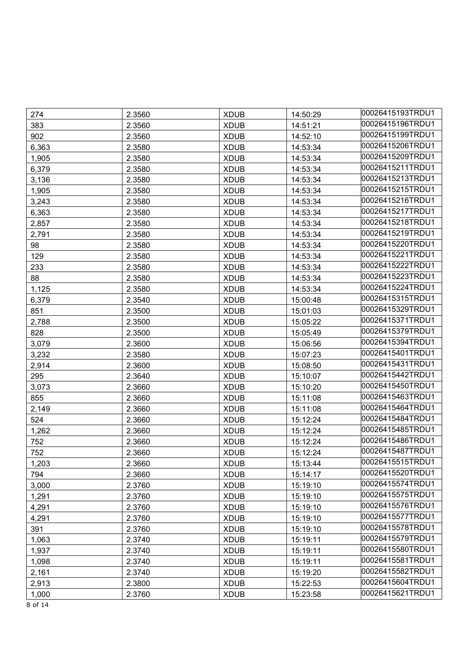| 274   | 2.3560 | <b>XDUB</b> | 14:50:29 | 00026415193TRDU1 |
|-------|--------|-------------|----------|------------------|
| 383   | 2.3560 | <b>XDUB</b> | 14:51:21 | 00026415196TRDU1 |
| 902   | 2.3560 | <b>XDUB</b> | 14:52:10 | 00026415199TRDU1 |
| 6,363 | 2.3580 | <b>XDUB</b> | 14:53:34 | 00026415206TRDU1 |
| 1,905 | 2.3580 | <b>XDUB</b> | 14:53:34 | 00026415209TRDU1 |
| 6,379 | 2.3580 | <b>XDUB</b> | 14:53:34 | 00026415211TRDU1 |
| 3,136 | 2.3580 | <b>XDUB</b> | 14:53:34 | 00026415213TRDU1 |
| 1,905 | 2.3580 | <b>XDUB</b> | 14:53:34 | 00026415215TRDU1 |
| 3,243 | 2.3580 | <b>XDUB</b> | 14:53:34 | 00026415216TRDU1 |
| 6,363 | 2.3580 | <b>XDUB</b> | 14:53:34 | 00026415217TRDU1 |
| 2,857 | 2.3580 | <b>XDUB</b> | 14:53:34 | 00026415218TRDU1 |
| 2,791 | 2.3580 | <b>XDUB</b> | 14:53:34 | 00026415219TRDU1 |
| 98    | 2.3580 | <b>XDUB</b> | 14:53:34 | 00026415220TRDU1 |
| 129   | 2.3580 | <b>XDUB</b> | 14:53:34 | 00026415221TRDU1 |
| 233   | 2.3580 | <b>XDUB</b> | 14:53:34 | 00026415222TRDU1 |
| 88    | 2.3580 | <b>XDUB</b> | 14:53:34 | 00026415223TRDU1 |
| 1,125 | 2.3580 | <b>XDUB</b> | 14:53:34 | 00026415224TRDU1 |
| 6,379 | 2.3540 | <b>XDUB</b> | 15:00:48 | 00026415315TRDU1 |
| 851   | 2.3500 | <b>XDUB</b> | 15:01:03 | 00026415329TRDU1 |
| 2,788 | 2.3500 | <b>XDUB</b> | 15:05:22 | 00026415371TRDU1 |
| 828   | 2.3500 | <b>XDUB</b> | 15:05:49 | 00026415379TRDU1 |
| 3,079 | 2.3600 | <b>XDUB</b> | 15:06:56 | 00026415394TRDU1 |
| 3,232 | 2.3580 | <b>XDUB</b> | 15:07:23 | 00026415401TRDU1 |
| 2,914 | 2.3600 | <b>XDUB</b> | 15:08:50 | 00026415431TRDU1 |
| 295   | 2.3640 | <b>XDUB</b> | 15:10:07 | 00026415442TRDU1 |
| 3,073 | 2.3660 | <b>XDUB</b> | 15:10:20 | 00026415450TRDU1 |
| 855   | 2.3660 | <b>XDUB</b> | 15:11:08 | 00026415463TRDU1 |
| 2,149 | 2.3660 | <b>XDUB</b> | 15:11:08 | 00026415464TRDU1 |
| 524   | 2.3660 | <b>XDUB</b> | 15:12:24 | 00026415484TRDU1 |
| 1,262 | 2.3660 | <b>XDUB</b> | 15:12:24 | 00026415485TRDU1 |
| 752   | 2.3660 | <b>XDUB</b> | 15:12:24 | 00026415486TRDU1 |
| 752   | 2.3660 | <b>XDUB</b> | 15:12:24 | 00026415487TRDU1 |
| 1,203 | 2.3660 | <b>XDUB</b> | 15:13:44 | 00026415515TRDU1 |
| 794   | 2.3660 | <b>XDUB</b> | 15:14:17 | 00026415520TRDU1 |
| 3,000 | 2.3760 | <b>XDUB</b> | 15:19:10 | 00026415574TRDU1 |
| 1,291 | 2.3760 | <b>XDUB</b> | 15:19:10 | 00026415575TRDU1 |
| 4,291 | 2.3760 | <b>XDUB</b> | 15:19:10 | 00026415576TRDU1 |
| 4,291 | 2.3760 | <b>XDUB</b> | 15:19:10 | 00026415577TRDU1 |
| 391   | 2.3760 | <b>XDUB</b> | 15:19:10 | 00026415578TRDU1 |
| 1,063 | 2.3740 | <b>XDUB</b> | 15:19:11 | 00026415579TRDU1 |
| 1,937 | 2.3740 | <b>XDUB</b> | 15:19:11 | 00026415580TRDU1 |
| 1,098 | 2.3740 | <b>XDUB</b> | 15:19:11 | 00026415581TRDU1 |
| 2,161 | 2.3740 | <b>XDUB</b> | 15:19:20 | 00026415582TRDU1 |
| 2,913 | 2.3800 | <b>XDUB</b> | 15:22:53 | 00026415604TRDU1 |
| 1,000 | 2.3760 | <b>XDUB</b> | 15:23:58 | 00026415621TRDU1 |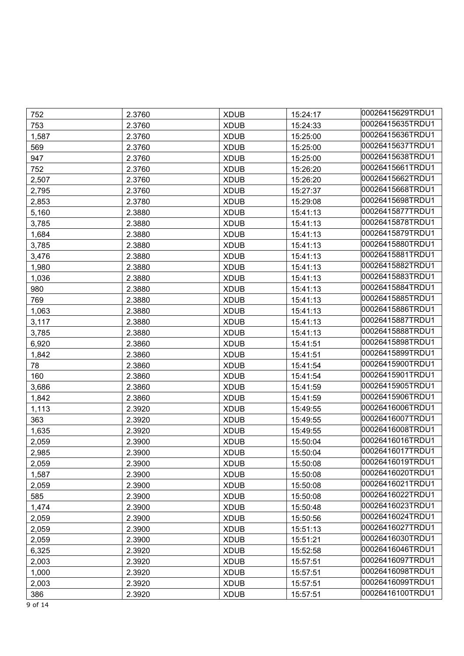| 752   | 2.3760 | <b>XDUB</b> | 15:24:17 | 00026415629TRDU1 |
|-------|--------|-------------|----------|------------------|
| 753   | 2.3760 | <b>XDUB</b> | 15:24:33 | 00026415635TRDU1 |
| 1,587 | 2.3760 | <b>XDUB</b> | 15:25:00 | 00026415636TRDU1 |
| 569   | 2.3760 | <b>XDUB</b> | 15:25:00 | 00026415637TRDU1 |
| 947   | 2.3760 | <b>XDUB</b> | 15:25:00 | 00026415638TRDU1 |
| 752   | 2.3760 | <b>XDUB</b> | 15:26:20 | 00026415661TRDU1 |
| 2,507 | 2.3760 | <b>XDUB</b> | 15:26:20 | 00026415662TRDU1 |
| 2,795 | 2.3760 | <b>XDUB</b> | 15:27:37 | 00026415668TRDU1 |
| 2,853 | 2.3780 | <b>XDUB</b> | 15:29:08 | 00026415698TRDU1 |
| 5,160 | 2.3880 | <b>XDUB</b> | 15:41:13 | 00026415877TRDU1 |
| 3,785 | 2.3880 | <b>XDUB</b> | 15:41:13 | 00026415878TRDU1 |
| 1,684 | 2.3880 | <b>XDUB</b> | 15:41:13 | 00026415879TRDU1 |
| 3,785 | 2.3880 | <b>XDUB</b> | 15:41:13 | 00026415880TRDU1 |
| 3,476 | 2.3880 | <b>XDUB</b> | 15:41:13 | 00026415881TRDU1 |
| 1,980 | 2.3880 | <b>XDUB</b> | 15:41:13 | 00026415882TRDU1 |
| 1,036 | 2.3880 | <b>XDUB</b> | 15:41:13 | 00026415883TRDU1 |
| 980   | 2.3880 | <b>XDUB</b> | 15:41:13 | 00026415884TRDU1 |
| 769   | 2.3880 | <b>XDUB</b> | 15:41:13 | 00026415885TRDU1 |
| 1,063 | 2.3880 | <b>XDUB</b> | 15:41:13 | 00026415886TRDU1 |
| 3,117 | 2.3880 | <b>XDUB</b> | 15:41:13 | 00026415887TRDU1 |
| 3,785 | 2.3880 | <b>XDUB</b> | 15:41:13 | 00026415888TRDU1 |
| 6,920 | 2.3860 | <b>XDUB</b> | 15:41:51 | 00026415898TRDU1 |
| 1,842 | 2.3860 | <b>XDUB</b> | 15:41:51 | 00026415899TRDU1 |
| 78    | 2.3860 | <b>XDUB</b> | 15:41:54 | 00026415900TRDU1 |
| 160   | 2.3860 | <b>XDUB</b> | 15:41:54 | 00026415901TRDU1 |
| 3,686 | 2.3860 | <b>XDUB</b> | 15:41:59 | 00026415905TRDU1 |
| 1,842 | 2.3860 | <b>XDUB</b> | 15:41:59 | 00026415906TRDU1 |
| 1,113 | 2.3920 | <b>XDUB</b> | 15:49:55 | 00026416006TRDU1 |
| 363   | 2.3920 | <b>XDUB</b> | 15:49:55 | 00026416007TRDU1 |
| 1,635 | 2.3920 | <b>XDUB</b> | 15:49:55 | 00026416008TRDU1 |
| 2,059 | 2.3900 | <b>XDUB</b> | 15:50:04 | 00026416016TRDU1 |
| 2,985 | 2.3900 | <b>XDUB</b> | 15:50:04 | 00026416017TRDU1 |
| 2,059 | 2.3900 | <b>XDUB</b> | 15:50:08 | 00026416019TRDU1 |
| 1,587 | 2.3900 | <b>XDUB</b> | 15:50:08 | 00026416020TRDU1 |
| 2,059 | 2.3900 | <b>XDUB</b> | 15:50:08 | 00026416021TRDU1 |
| 585   | 2.3900 | <b>XDUB</b> | 15:50:08 | 00026416022TRDU1 |
| 1,474 | 2.3900 | <b>XDUB</b> | 15:50:48 | 00026416023TRDU1 |
| 2,059 | 2.3900 | <b>XDUB</b> | 15:50:56 | 00026416024TRDU1 |
| 2,059 | 2.3900 | <b>XDUB</b> | 15:51:13 | 00026416027TRDU1 |
| 2,059 | 2.3900 | <b>XDUB</b> | 15:51:21 | 00026416030TRDU1 |
| 6,325 | 2.3920 | <b>XDUB</b> | 15:52:58 | 00026416046TRDU1 |
| 2,003 | 2.3920 | <b>XDUB</b> | 15:57:51 | 00026416097TRDU1 |
| 1,000 | 2.3920 | <b>XDUB</b> | 15:57:51 | 00026416098TRDU1 |
| 2,003 | 2.3920 | <b>XDUB</b> | 15:57:51 | 00026416099TRDU1 |
| 386   | 2.3920 | <b>XDUB</b> | 15:57:51 | 00026416100TRDU1 |